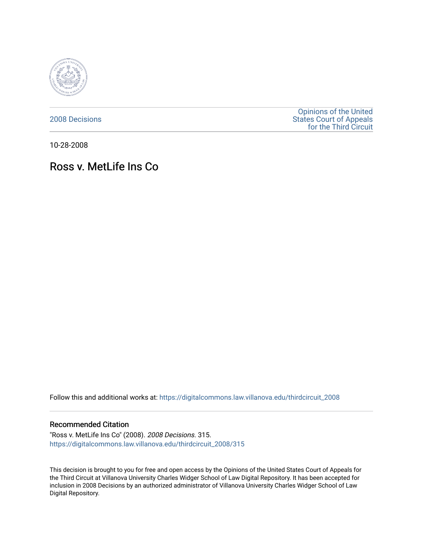

[2008 Decisions](https://digitalcommons.law.villanova.edu/thirdcircuit_2008)

[Opinions of the United](https://digitalcommons.law.villanova.edu/thirdcircuit)  [States Court of Appeals](https://digitalcommons.law.villanova.edu/thirdcircuit)  [for the Third Circuit](https://digitalcommons.law.villanova.edu/thirdcircuit) 

10-28-2008

# Ross v. MetLife Ins Co

Follow this and additional works at: [https://digitalcommons.law.villanova.edu/thirdcircuit\\_2008](https://digitalcommons.law.villanova.edu/thirdcircuit_2008?utm_source=digitalcommons.law.villanova.edu%2Fthirdcircuit_2008%2F315&utm_medium=PDF&utm_campaign=PDFCoverPages) 

### Recommended Citation

"Ross v. MetLife Ins Co" (2008). 2008 Decisions. 315. [https://digitalcommons.law.villanova.edu/thirdcircuit\\_2008/315](https://digitalcommons.law.villanova.edu/thirdcircuit_2008/315?utm_source=digitalcommons.law.villanova.edu%2Fthirdcircuit_2008%2F315&utm_medium=PDF&utm_campaign=PDFCoverPages)

This decision is brought to you for free and open access by the Opinions of the United States Court of Appeals for the Third Circuit at Villanova University Charles Widger School of Law Digital Repository. It has been accepted for inclusion in 2008 Decisions by an authorized administrator of Villanova University Charles Widger School of Law Digital Repository.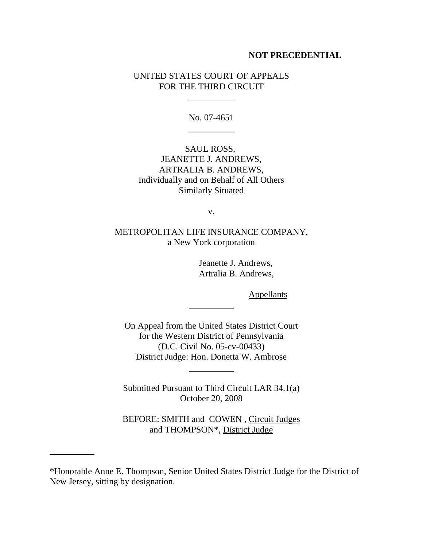## **NOT PRECEDENTIAL**

# UNITED STATES COURT OF APPEALS FOR THE THIRD CIRCUIT

 $\overline{a}$ 

l

No. 07-4651

SAUL ROSS, JEANETTE J. ANDREWS, ARTRALIA B. ANDREWS, Individually and on Behalf of All Others Similarly Situated

v.

METROPOLITAN LIFE INSURANCE COMPANY, a New York corporation

> Jeanette J. Andrews, Artralia B. Andrews,

> > **Appellants**

On Appeal from the United States District Court for the Western District of Pennsylvania (D.C. Civil No. 05-cv-00433) District Judge: Hon. Donetta W. Ambrose

 $\overline{a}$ 

 $\overline{a}$ 

l

Submitted Pursuant to Third Circuit LAR 34.1(a) October 20, 2008

BEFORE: SMITH and COWEN , Circuit Judges and THOMPSON\*, District Judge

<sup>\*</sup>Honorable Anne E. Thompson, Senior United States District Judge for the District of New Jersey, sitting by designation.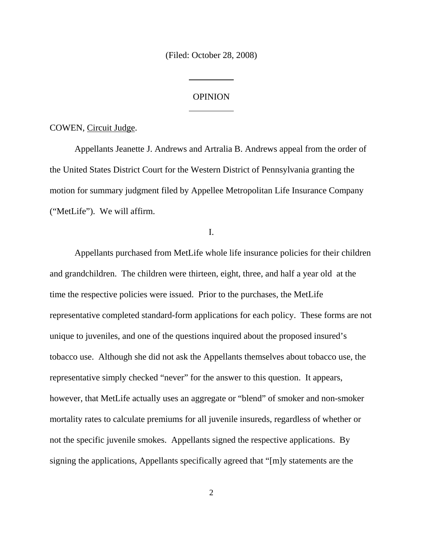(Filed: October 28, 2008)

 $\overline{a}$ 

 $\overline{a}$ 

### OPINION

COWEN, Circuit Judge.

Appellants Jeanette J. Andrews and Artralia B. Andrews appeal from the order of the United States District Court for the Western District of Pennsylvania granting the motion for summary judgment filed by Appellee Metropolitan Life Insurance Company ("MetLife"). We will affirm.

I.

Appellants purchased from MetLife whole life insurance policies for their children and grandchildren. The children were thirteen, eight, three, and half a year old at the time the respective policies were issued. Prior to the purchases, the MetLife representative completed standard-form applications for each policy. These forms are not unique to juveniles, and one of the questions inquired about the proposed insured's tobacco use. Although she did not ask the Appellants themselves about tobacco use, the representative simply checked "never" for the answer to this question. It appears, however, that MetLife actually uses an aggregate or "blend" of smoker and non-smoker mortality rates to calculate premiums for all juvenile insureds, regardless of whether or not the specific juvenile smokes. Appellants signed the respective applications. By signing the applications, Appellants specifically agreed that "[m]y statements are the

2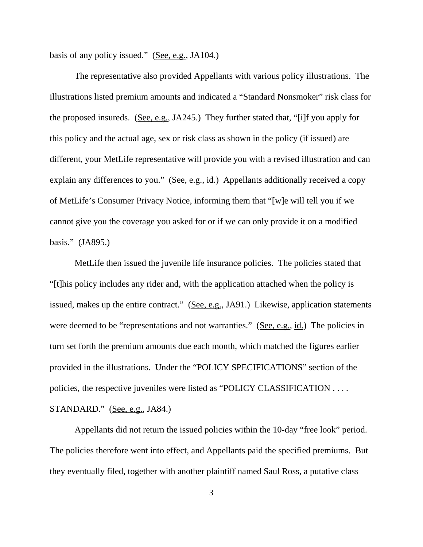basis of any policy issued." (See, e.g., JA104.)

The representative also provided Appellants with various policy illustrations. The illustrations listed premium amounts and indicated a "Standard Nonsmoker" risk class for the proposed insureds. (See, e.g., JA245.) They further stated that, "[i]f you apply for this policy and the actual age, sex or risk class as shown in the policy (if issued) are different, your MetLife representative will provide you with a revised illustration and can explain any differences to you." (See, e.g., id.) Appellants additionally received a copy of MetLife's Consumer Privacy Notice, informing them that "[w]e will tell you if we cannot give you the coverage you asked for or if we can only provide it on a modified basis." (JA895.)

MetLife then issued the juvenile life insurance policies. The policies stated that "[t]his policy includes any rider and, with the application attached when the policy is issued, makes up the entire contract." (See, e.g., JA91.) Likewise, application statements were deemed to be "representations and not warranties." (See, e.g., id.) The policies in turn set forth the premium amounts due each month, which matched the figures earlier provided in the illustrations. Under the "POLICY SPECIFICATIONS" section of the policies, the respective juveniles were listed as "POLICY CLASSIFICATION . . . . STANDARD." (See, e.g., JA84.)

Appellants did not return the issued policies within the 10-day "free look" period. The policies therefore went into effect, and Appellants paid the specified premiums. But they eventually filed, together with another plaintiff named Saul Ross, a putative class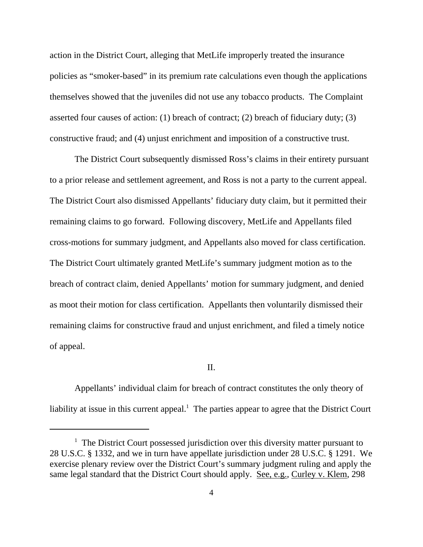action in the District Court, alleging that MetLife improperly treated the insurance policies as "smoker-based" in its premium rate calculations even though the applications themselves showed that the juveniles did not use any tobacco products. The Complaint asserted four causes of action: (1) breach of contract; (2) breach of fiduciary duty; (3) constructive fraud; and (4) unjust enrichment and imposition of a constructive trust.

The District Court subsequently dismissed Ross's claims in their entirety pursuant to a prior release and settlement agreement, and Ross is not a party to the current appeal. The District Court also dismissed Appellants' fiduciary duty claim, but it permitted their remaining claims to go forward. Following discovery, MetLife and Appellants filed cross-motions for summary judgment, and Appellants also moved for class certification. The District Court ultimately granted MetLife's summary judgment motion as to the breach of contract claim, denied Appellants' motion for summary judgment, and denied as moot their motion for class certification. Appellants then voluntarily dismissed their remaining claims for constructive fraud and unjust enrichment, and filed a timely notice of appeal.

#### II.

Appellants' individual claim for breach of contract constitutes the only theory of liability at issue in this current appeal.<sup>1</sup> The parties appear to agree that the District Court

<sup>&</sup>lt;sup>1</sup> The District Court possessed jurisdiction over this diversity matter pursuant to 28 U.S.C. § 1332, and we in turn have appellate jurisdiction under 28 U.S.C. § 1291. We exercise plenary review over the District Court's summary judgment ruling and apply the same legal standard that the District Court should apply. See, e.g., Curley v. Klem, 298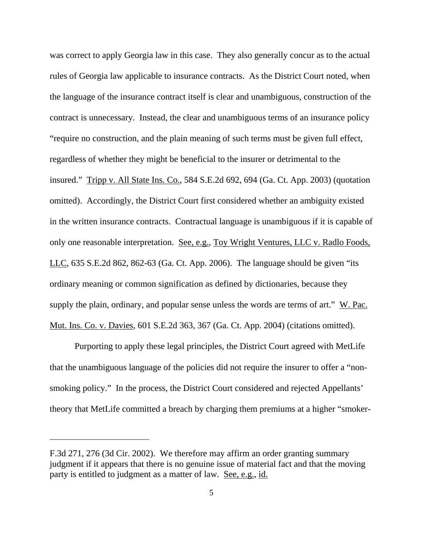was correct to apply Georgia law in this case. They also generally concur as to the actual rules of Georgia law applicable to insurance contracts. As the District Court noted, when the language of the insurance contract itself is clear and unambiguous, construction of the contract is unnecessary. Instead, the clear and unambiguous terms of an insurance policy "require no construction, and the plain meaning of such terms must be given full effect, regardless of whether they might be beneficial to the insurer or detrimental to the insured." Tripp v. All State Ins. Co., 584 S.E.2d 692, 694 (Ga. Ct. App. 2003) (quotation omitted). Accordingly, the District Court first considered whether an ambiguity existed in the written insurance contracts. Contractual language is unambiguous if it is capable of only one reasonable interpretation. See, e.g., Toy Wright Ventures, LLC v. Radlo Foods, LLC, 635 S.E.2d 862, 862-63 (Ga. Ct. App. 2006). The language should be given "its ordinary meaning or common signification as defined by dictionaries, because they supply the plain, ordinary, and popular sense unless the words are terms of art." W. Pac. Mut. Ins. Co. v. Davies, 601 S.E.2d 363, 367 (Ga. Ct. App. 2004) (citations omitted).

Purporting to apply these legal principles, the District Court agreed with MetLife that the unambiguous language of the policies did not require the insurer to offer a "nonsmoking policy." In the process, the District Court considered and rejected Appellants' theory that MetLife committed a breach by charging them premiums at a higher "smoker-

F.3d 271, 276 (3d Cir. 2002). We therefore may affirm an order granting summary judgment if it appears that there is no genuine issue of material fact and that the moving party is entitled to judgment as a matter of law. See, e.g., id.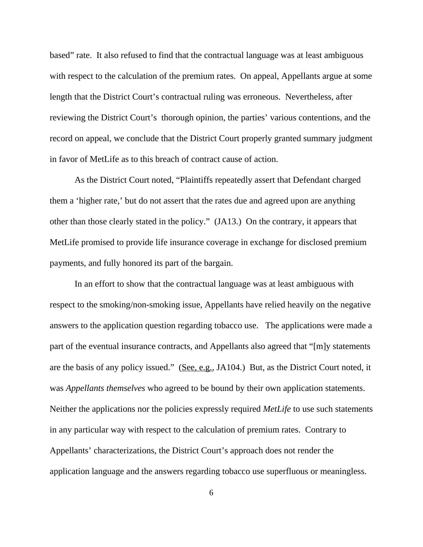based" rate. It also refused to find that the contractual language was at least ambiguous with respect to the calculation of the premium rates. On appeal, Appellants argue at some length that the District Court's contractual ruling was erroneous. Nevertheless, after reviewing the District Court's thorough opinion, the parties' various contentions, and the record on appeal, we conclude that the District Court properly granted summary judgment in favor of MetLife as to this breach of contract cause of action.

As the District Court noted, "Plaintiffs repeatedly assert that Defendant charged them a 'higher rate,' but do not assert that the rates due and agreed upon are anything other than those clearly stated in the policy." (JA13.) On the contrary, it appears that MetLife promised to provide life insurance coverage in exchange for disclosed premium payments, and fully honored its part of the bargain.

In an effort to show that the contractual language was at least ambiguous with respect to the smoking/non-smoking issue, Appellants have relied heavily on the negative answers to the application question regarding tobacco use. The applications were made a part of the eventual insurance contracts, and Appellants also agreed that "[m]y statements are the basis of any policy issued." (See, e.g., JA104.) But, as the District Court noted, it was *Appellants themselves* who agreed to be bound by their own application statements. Neither the applications nor the policies expressly required *MetLife* to use such statements in any particular way with respect to the calculation of premium rates. Contrary to Appellants' characterizations, the District Court's approach does not render the application language and the answers regarding tobacco use superfluous or meaningless.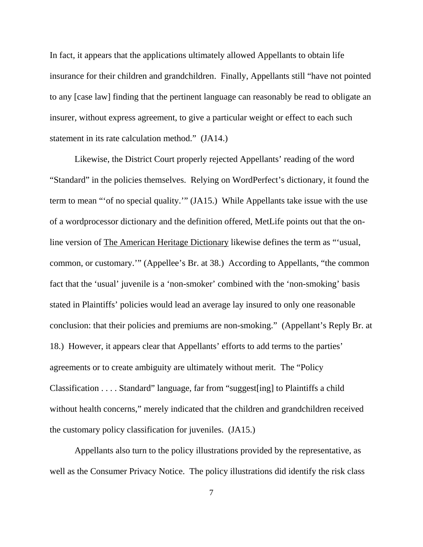In fact, it appears that the applications ultimately allowed Appellants to obtain life insurance for their children and grandchildren. Finally, Appellants still "have not pointed to any [case law] finding that the pertinent language can reasonably be read to obligate an insurer, without express agreement, to give a particular weight or effect to each such statement in its rate calculation method." (JA14.)

Likewise, the District Court properly rejected Appellants' reading of the word "Standard" in the policies themselves. Relying on WordPerfect's dictionary, it found the term to mean "'of no special quality.'" (JA15.) While Appellants take issue with the use of a wordprocessor dictionary and the definition offered, MetLife points out that the online version of The American Heritage Dictionary likewise defines the term as "'usual, common, or customary.'" (Appellee's Br. at 38.) According to Appellants, "the common fact that the 'usual' juvenile is a 'non-smoker' combined with the 'non-smoking' basis stated in Plaintiffs' policies would lead an average lay insured to only one reasonable conclusion: that their policies and premiums are non-smoking." (Appellant's Reply Br. at 18.) However, it appears clear that Appellants' efforts to add terms to the parties' agreements or to create ambiguity are ultimately without merit. The "Policy Classification . . . . Standard" language, far from "suggest[ing] to Plaintiffs a child without health concerns," merely indicated that the children and grandchildren received the customary policy classification for juveniles. (JA15.)

Appellants also turn to the policy illustrations provided by the representative, as well as the Consumer Privacy Notice. The policy illustrations did identify the risk class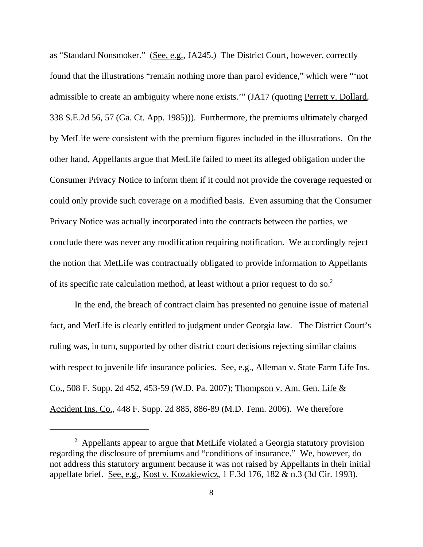as "Standard Nonsmoker." (See, e.g., JA245.) The District Court, however, correctly found that the illustrations "remain nothing more than parol evidence," which were "'not admissible to create an ambiguity where none exists.'" (JA17 (quoting Perrett v. Dollard, 338 S.E.2d 56, 57 (Ga. Ct. App. 1985))). Furthermore, the premiums ultimately charged by MetLife were consistent with the premium figures included in the illustrations. On the other hand, Appellants argue that MetLife failed to meet its alleged obligation under the Consumer Privacy Notice to inform them if it could not provide the coverage requested or could only provide such coverage on a modified basis. Even assuming that the Consumer Privacy Notice was actually incorporated into the contracts between the parties, we conclude there was never any modification requiring notification. We accordingly reject the notion that MetLife was contractually obligated to provide information to Appellants of its specific rate calculation method, at least without a prior request to do so.<sup>2</sup>

In the end, the breach of contract claim has presented no genuine issue of material fact, and MetLife is clearly entitled to judgment under Georgia law. The District Court's ruling was, in turn, supported by other district court decisions rejecting similar claims with respect to juvenile life insurance policies. See, e.g., Alleman v. State Farm Life Ins. Co., 508 F. Supp. 2d 452, 453-59 (W.D. Pa. 2007); Thompson v. Am. Gen. Life & Accident Ins. Co., 448 F. Supp. 2d 885, 886-89 (M.D. Tenn. 2006). We therefore

<sup>&</sup>lt;sup>2</sup> Appellants appear to argue that MetLife violated a Georgia statutory provision regarding the disclosure of premiums and "conditions of insurance." We, however, do not address this statutory argument because it was not raised by Appellants in their initial appellate brief. See, e.g., Kost v. Kozakiewicz, 1 F.3d 176, 182 & n.3 (3d Cir. 1993).